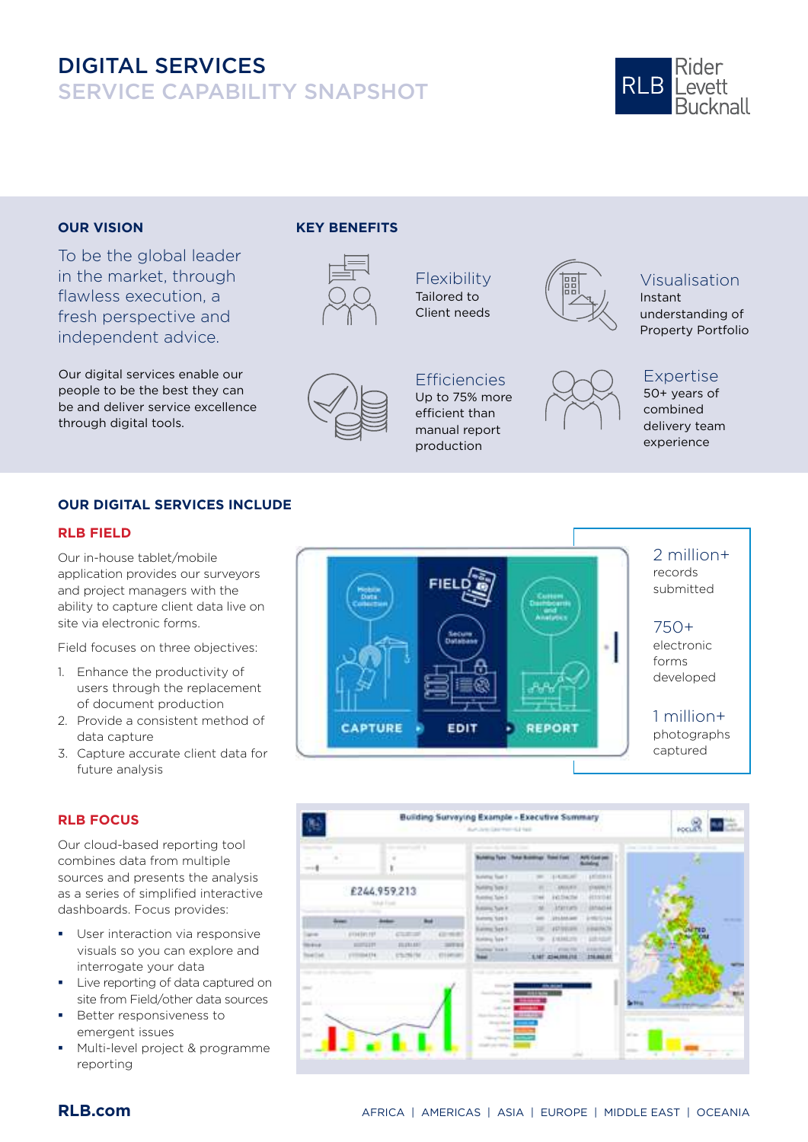# DIGITAL SERVICES

SERVICE CAPABILITY SNAPSHOT



#### **OUR VISION**

To be the global leader in the market, through flawless execution, a fresh perspective and independent advice.

Our digital services enable our people to be the best they can be and deliver service excellence through digital tools.

#### **KEY BENEFITS**



## Tailored to Client needs

Flexibility





### Visualisation

Instant understanding of Property Portfolio



### Expertise

50+ years of combined delivery team experience

#### **OUR DIGITAL SERVICES INCLUDE**

#### **RLB FIELD**

Our in-house tablet/mobile application provides our surveyors and project managers with the ability to capture client data live on site via electronic forms.

Field focuses on three objectives:

- 1. Enhance the productivity of users through the replacement of document production
- 2. Provide a consistent method of data capture
- 3. Capture accurate client data for future analysis

#### **RLB FOCUS**

Our cloud-based reporting tool combines data from multiple sources and presents the analysis as a series of simplified interactive dashboards. Focus provides:

- **User interaction via responsive** visuals so you can explore and interrogate your data
- **Live reporting of data captured on** site from Field/other data sources
- **Better responsiveness to** emergent issues
- Multi-level project & programme reporting